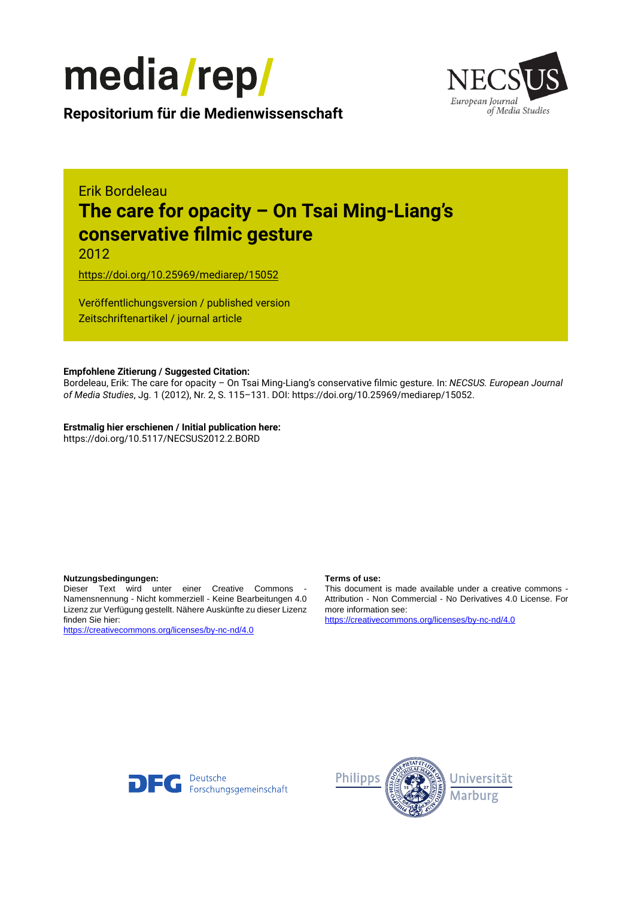



**Repositorium für die [Medienwissenschaft](https://mediarep.org)**

# Erik Bordeleau **The care for opacity – On Tsai Ming-Liang's conservative filmic gesture**

2012

<https://doi.org/10.25969/mediarep/15052>

Veröffentlichungsversion / published version Zeitschriftenartikel / journal article

#### **Empfohlene Zitierung / Suggested Citation:**

Bordeleau, Erik: The care for opacity – On Tsai Ming-Liang's conservative filmic gesture. In: *NECSUS. European Journal of Media Studies*, Jg. 1 (2012), Nr. 2, S. 115–131. DOI: https://doi.org/10.25969/mediarep/15052.

**Erstmalig hier erschienen / Initial publication here:** https://doi.org/10.5117/NECSUS2012.2.BORD

#### **Nutzungsbedingungen: Terms of use:**

Dieser Text wird unter einer Creative Commons - Namensnennung - Nicht kommerziell - Keine Bearbeitungen 4.0 Lizenz zur Verfügung gestellt. Nähere Auskünfte zu dieser Lizenz finden Sie hier:

<https://creativecommons.org/licenses/by-nc-nd/4.0>

This document is made available under a creative commons - Attribution - Non Commercial - No Derivatives 4.0 License. For more information see:

<https://creativecommons.org/licenses/by-nc-nd/4.0>



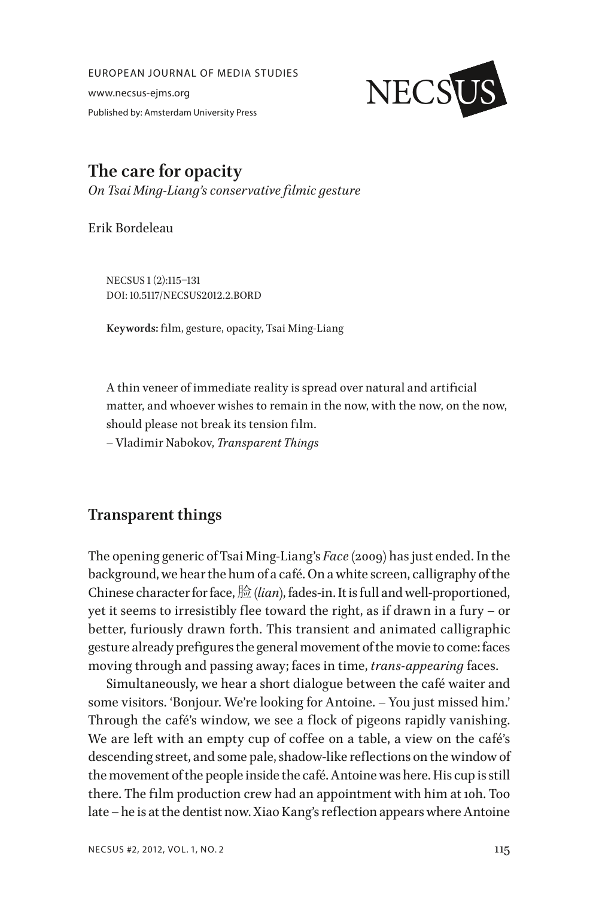EUROPEAN JOURNAL OF MEDIA STUDIES

www.necsus-ejms.org Published by: Amsterdam University Press



# **The care for opacity** *On Tsai Ming-Liang's conservative filmic gesture*

Erik Bordeleau

NECSUS 1 (2):115–131 DOI: 10.5117/NECSUS2012.2.BORD

**Keywords:** film, gesture, opacity, Tsai Ming-Liang

A thin veneer of immediate reality is spread over natural and artificial matter, and whoever wishes to remain in the now, with the now, on the now, should please not break its tension film.

– Vladimir Nabokov, *Transparent Things*

# **Transparent things**

The opening generic of Tsai Ming-Liang's *Face* (2009) has just ended. In the background, we hear the hum of a café. On a white screen, calligraphy of the Chinese character for face, 脸 (*lian*), fades-in. It is full and well-proportioned, yet it seems to irresistibly flee toward the right, as if drawn in a fury – or better, furiously drawn forth. This transient and animated calligraphic gesture already prefigures the general movement of the movie to come: faces moving through and passing away; faces in time, *trans-appearing* faces.

Simultaneously, we hear a short dialogue between the café waiter and some visitors. 'Bonjour. We're looking for Antoine. – You just missed him.' Through the café's window, we see a flock of pigeons rapidly vanishing. We are left with an empty cup of coffee on a table, a view on the café's descending street, and some pale, shadow-like reflections on the window of the movement of the people inside the café. Antoine was here. His cup is still there. The film production crew had an appointment with him at 10h. Too late – he is at the dentist now. Xiao Kang's reflection appears where Antoine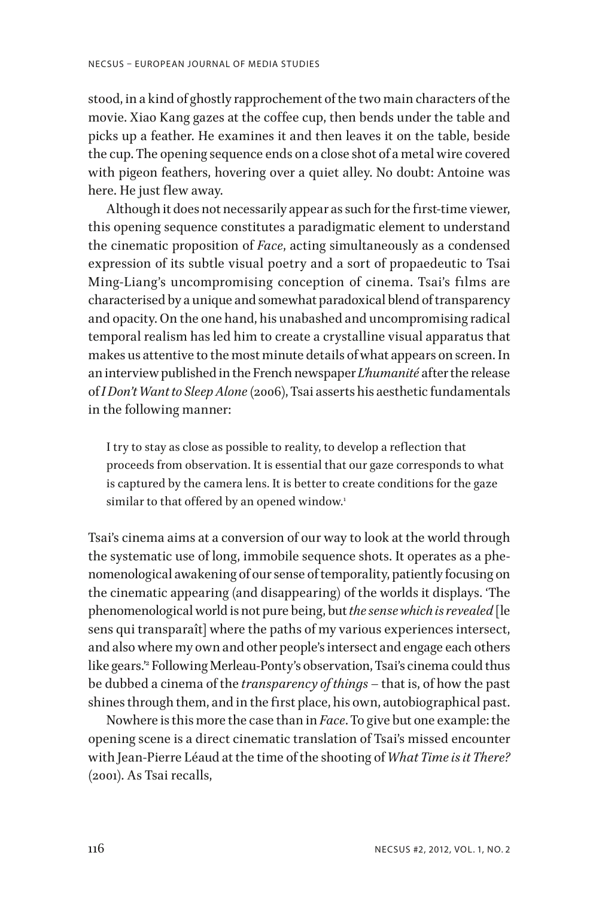stood, in a kind of ghostly rapprochement of the two main characters of the movie. Xiao Kang gazes at the coffee cup, then bends under the table and picks up a feather. He examines it and then leaves it on the table, beside the cup. The opening sequence ends on a close shot of a metal wire covered with pigeon feathers, hovering over a quiet alley. No doubt: Antoine was here. He just flew away.

Although it does not necessarily appear as such for the first-time viewer, this opening sequence constitutes a paradigmatic element to understand the cinematic proposition of *Face*, acting simultaneously as a condensed expression of its subtle visual poetry and a sort of propaedeutic to Tsai Ming-Liang's uncompromising conception of cinema. Tsai's films are characterised by a unique and somewhat paradoxical blend of transparency and opacity. On the one hand, his unabashed and uncompromising radical temporal realism has led him to create a crystalline visual apparatus that makes us attentive to the most minute details of what appears on screen. In an interview published in the French newspaper *L'humanité* after the release of *I Don't Want to Sleep Alone* (2006), Tsai asserts his aesthetic fundamentals in the following manner:

I try to stay as close as possible to reality, to develop a reflection that proceeds from observation. It is essential that our gaze corresponds to what is captured by the camera lens. It is better to create conditions for the gaze similar to that offered by an opened window.<sup>1</sup>

Tsai's cinema aims at a conversion of our way to look at the world through the systematic use of long, immobile sequence shots. It operates as a phenomenological awakening of our sense of temporality, patiently focusing on the cinematic appearing (and disappearing) of the worlds it displays. 'The phenomenological world is not pure being, but *the sense which is revealed* [le sens qui transparaît] where the paths of my various experiences intersect, and also where my own and other people's intersect and engage each others like gears.'2 Following Merleau-Ponty's observation, Tsai's cinema could thus be dubbed a cinema of the *transparency of things* – that is, of how the past shines through them, and in the first place, his own, autobiographical past.

Nowhere is this more the case than in *Face*. To give but one example: the opening scene is a direct cinematic translation of Tsai's missed encounter with Jean-Pierre Léaud at the time of the shooting of *What Time is it There?*  (2001). As Tsai recalls,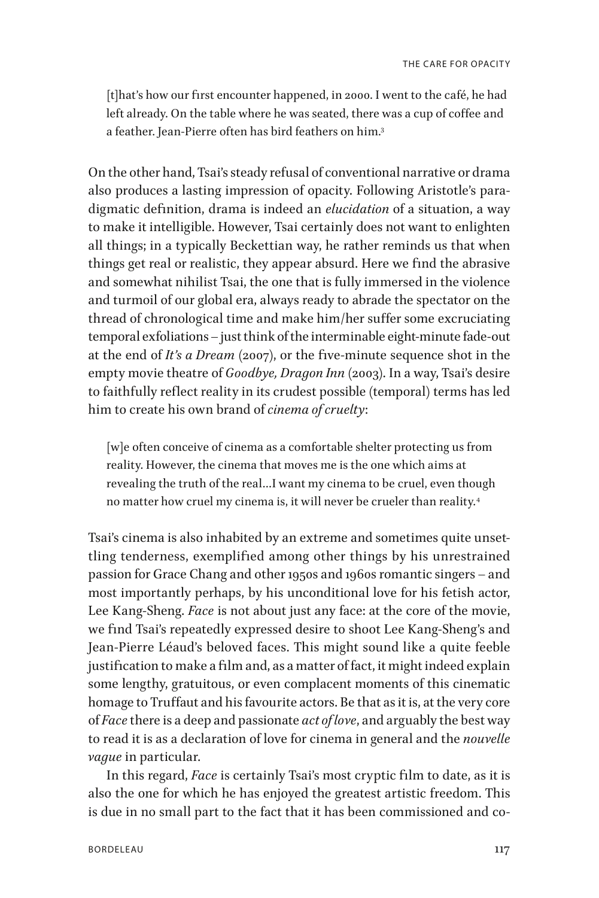[t]hat's how our first encounter happened, in 2000. I went to the café, he had left already. On the table where he was seated, there was a cup of coffee and a feather. Jean-Pierre often has bird feathers on him.3

On the other hand, Tsai's steady refusal of conventional narrative or drama also produces a lasting impression of opacity. Following Aristotle's paradigmatic definition, drama is indeed an *elucidation* of a situation, a way to make it intelligible. However, Tsai certainly does not want to enlighten all things; in a typically Beckettian way, he rather reminds us that when things get real or realistic, they appear absurd. Here we find the abrasive and somewhat nihilist Tsai, the one that is fully immersed in the violence and turmoil of our global era, always ready to abrade the spectator on the thread of chronological time and make him/her suffer some excruciating temporal exfoliations – just think of the interminable eight-minute fade-out at the end of *It's a Dream* (2007), or the five-minute sequence shot in the empty movie theatre of *Goodbye, Dragon Inn* (2003). In a way, Tsai's desire to faithfully reflect reality in its crudest possible (temporal) terms has led him to create his own brand of *cinema of cruelty*:

[w]e often conceive of cinema as a comfortable shelter protecting us from reality. However, the cinema that moves me is the one which aims at revealing the truth of the real…I want my cinema to be cruel, even though no matter how cruel my cinema is, it will never be crueler than reality.4

Tsai's cinema is also inhabited by an extreme and sometimes quite unsettling tenderness, exemplified among other things by his unrestrained passion for Grace Chang and other 1950s and 1960s romantic singers – and most importantly perhaps, by his unconditional love for his fetish actor, Lee Kang-Sheng. *Face* is not about just any face: at the core of the movie, we find Tsai's repeatedly expressed desire to shoot Lee Kang-Sheng's and Jean-Pierre Léaud's beloved faces. This might sound like a quite feeble justification to make a film and, as a matter of fact, it might indeed explain some lengthy, gratuitous, or even complacent moments of this cinematic homage to Truffaut and his favourite actors. Be that as it is, at the very core of *Face* there is a deep and passionate *act of love*, and arguably the best way to read it is as a declaration of love for cinema in general and the *nouvelle vague* in particular.

In this regard, *Face* is certainly Tsai's most cryptic film to date, as it is also the one for which he has enjoyed the greatest artistic freedom. This is due in no small part to the fact that it has been commissioned and co-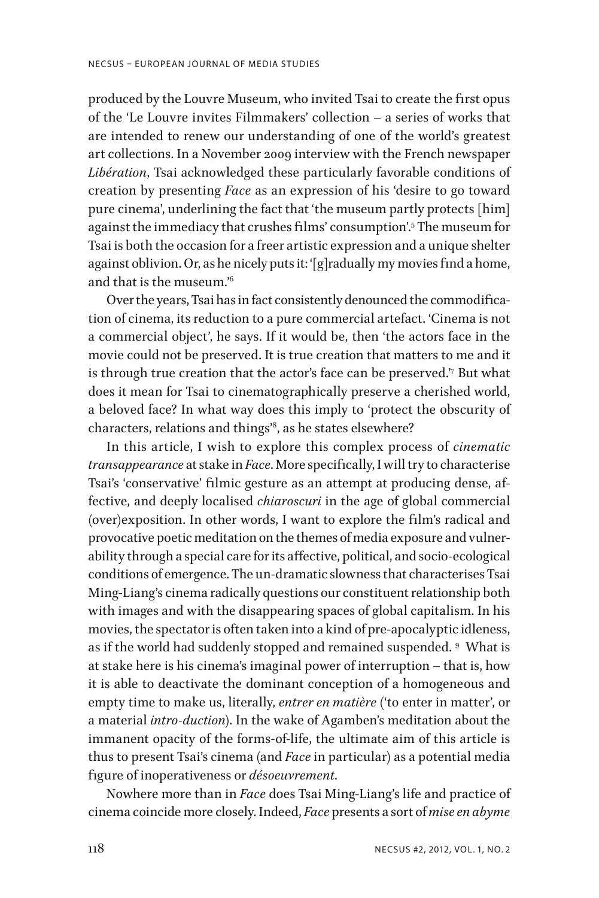produced by the Louvre Museum, who invited Tsai to create the first opus of the 'Le Louvre invites Filmmakers' collection – a series of works that are intended to renew our understanding of one of the world's greatest art collections. In a November 2009 interview with the French newspaper *Libération*, Tsai acknowledged these particularly favorable conditions of creation by presenting *Face* as an expression of his 'desire to go toward pure cinema', underlining the fact that 'the museum partly protects [him] against the immediacy that crushes films' consumption'.5 The museum for Tsai is both the occasion for a freer artistic expression and a unique shelter against oblivion. Or, as he nicely puts it: '[g]radually my movies find a home, and that is the museum.'6

Over the years, Tsai has in fact consistently denounced the commodification of cinema, its reduction to a pure commercial artefact. 'Cinema is not a commercial object', he says. If it would be, then 'the actors face in the movie could not be preserved. It is true creation that matters to me and it is through true creation that the actor's face can be preserved.'7 But what does it mean for Tsai to cinematographically preserve a cherished world, a beloved face? In what way does this imply to 'protect the obscurity of characters, relations and things'8 , as he states elsewhere?

In this article, I wish to explore this complex process of *cinematic transappearance* at stake in *Face*. More specifically, I will try to characterise Tsai's 'conservative' filmic gesture as an attempt at producing dense, affective, and deeply localised *chiaroscuri* in the age of global commercial (over)exposition. In other words, I want to explore the film's radical and provocative poetic meditation on the themes of media exposure and vulnerability through a special care for its affective, political, and socio-ecological conditions of emergence. The un-dramatic slowness that characterises Tsai Ming-Liang's cinema radically questions our constituent relationship both with images and with the disappearing spaces of global capitalism. In his movies, the spectator is often taken into a kind of pre-apocalyptic idleness, as if the world had suddenly stopped and remained suspended. 9 What is at stake here is his cinema's imaginal power of interruption – that is, how it is able to deactivate the dominant conception of a homogeneous and empty time to make us, literally, *entrer en matière* ('to enter in matter', or a material *intro-duction*). In the wake of Agamben's meditation about the immanent opacity of the forms-of-life, the ultimate aim of this article is thus to present Tsai's cinema (and *Face* in particular) as a potential media figure of inoperativeness or *désoeuvrement*.

Nowhere more than in *Face* does Tsai Ming-Liang's life and practice of cinema coincide more closely. Indeed, *Face* presents a sort of *mise en abyme*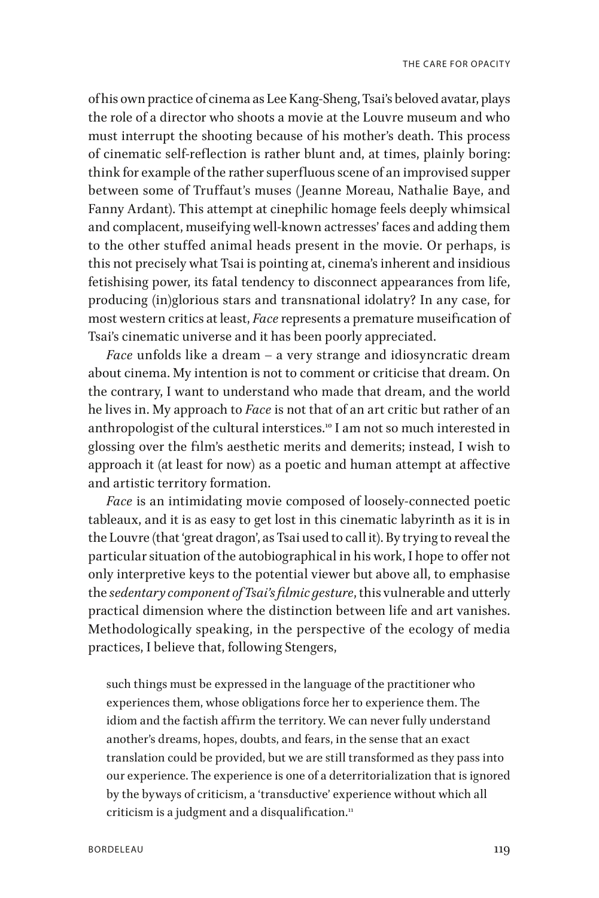of his own practice of cinema as Lee Kang-Sheng, Tsai's beloved avatar, plays the role of a director who shoots a movie at the Louvre museum and who must interrupt the shooting because of his mother's death. This process of cinematic self-reflection is rather blunt and, at times, plainly boring: think for example of the rather superfluous scene of an improvised supper between some of Truffaut's muses (Jeanne Moreau, Nathalie Baye, and Fanny Ardant). This attempt at cinephilic homage feels deeply whimsical and complacent, museifying well-known actresses' faces and adding them to the other stuffed animal heads present in the movie. Or perhaps, is this not precisely what Tsai is pointing at, cinema's inherent and insidious fetishising power, its fatal tendency to disconnect appearances from life, producing (in)glorious stars and transnational idolatry? In any case, for most western critics at least, *Face* represents a premature museification of Tsai's cinematic universe and it has been poorly appreciated.

*Face* unfolds like a dream – a very strange and idiosyncratic dream about cinema. My intention is not to comment or criticise that dream. On the contrary, I want to understand who made that dream, and the world he lives in. My approach to *Face* is not that of an art critic but rather of an anthropologist of the cultural interstices.<sup>10</sup> I am not so much interested in glossing over the film's aesthetic merits and demerits; instead, I wish to approach it (at least for now) as a poetic and human attempt at affective and artistic territory formation.

*Face* is an intimidating movie composed of loosely-connected poetic tableaux, and it is as easy to get lost in this cinematic labyrinth as it is in the Louvre (that 'great dragon', as Tsai used to call it). By trying to reveal the particular situation of the autobiographical in his work, I hope to offer not only interpretive keys to the potential viewer but above all, to emphasise the *sedentary component of Tsai's filmic gesture*, this vulnerable and utterly practical dimension where the distinction between life and art vanishes. Methodologically speaking, in the perspective of the ecology of media practices, I believe that, following Stengers,

such things must be expressed in the language of the practitioner who experiences them, whose obligations force her to experience them. The idiom and the factish affirm the territory. We can never fully understand another's dreams, hopes, doubts, and fears, in the sense that an exact translation could be provided, but we are still transformed as they pass into our experience. The experience is one of a deterritorialization that is ignored by the byways of criticism, a 'transductive' experience without which all criticism is a judgment and a disqualification.<sup>11</sup>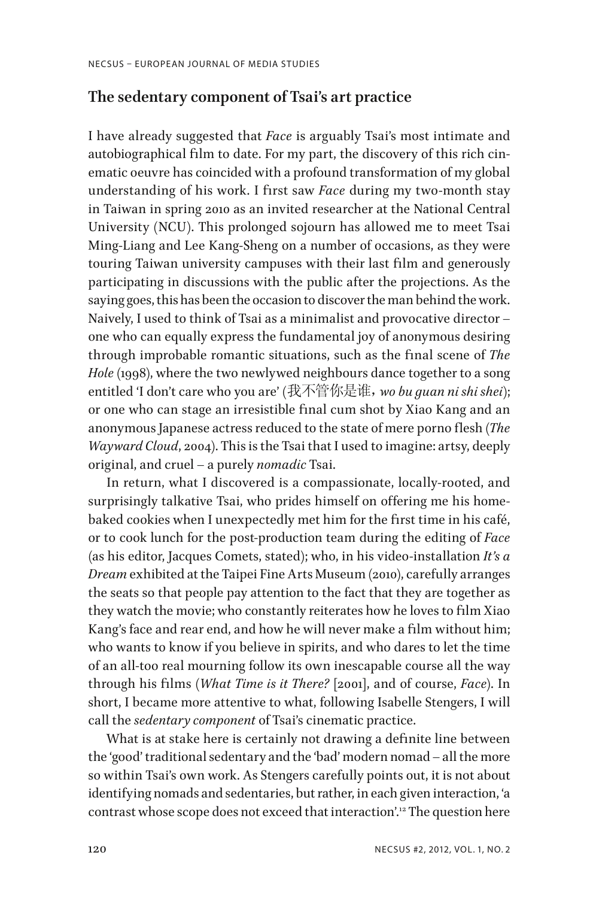#### **The sedentary component of Tsai's art practice**

I have already suggested that *Face* is arguably Tsai's most intimate and autobiographical film to date. For my part, the discovery of this rich cinematic oeuvre has coincided with a profound transformation of my global understanding of his work. I first saw *Face* during my two-month stay in Taiwan in spring 2010 as an invited researcher at the National Central University (NCU). This prolonged sojourn has allowed me to meet Tsai Ming-Liang and Lee Kang-Sheng on a number of occasions, as they were touring Taiwan university campuses with their last film and generously participating in discussions with the public after the projections. As the saying goes, this has been the occasion to discover the man behind the work. Naively, I used to think of Tsai as a minimalist and provocative director – one who can equally express the fundamental joy of anonymous desiring through improbable romantic situations, such as the final scene of *The Hole* (1998), where the two newlywed neighbours dance together to a song entitled 'I don't care who you are' (我不管你是谁,*wo bu guan ni shi shei*); or one who can stage an irresistible final cum shot by Xiao Kang and an anonymous Japanese actress reduced to the state of mere porno flesh (*The Wayward Cloud*, 2004). This is the Tsai that I used to imagine: artsy, deeply original, and cruel – a purely *nomadic* Tsai.

In return, what I discovered is a compassionate, locally-rooted, and surprisingly talkative Tsai, who prides himself on offering me his homebaked cookies when I unexpectedly met him for the first time in his café, or to cook lunch for the post-production team during the editing of *Face* (as his editor, Jacques Comets, stated); who, in his video-installation *It's a Dream* exhibited at the Taipei Fine Arts Museum (2010), carefully arranges the seats so that people pay attention to the fact that they are together as they watch the movie; who constantly reiterates how he loves to film Xiao Kang's face and rear end, and how he will never make a film without him; who wants to know if you believe in spirits, and who dares to let the time of an all-too real mourning follow its own inescapable course all the way through his films (*What Time is it There?* [2001], and of course, *Face*). In short, I became more attentive to what, following Isabelle Stengers, I will call the *sedentary component* of Tsai's cinematic practice.

What is at stake here is certainly not drawing a definite line between the 'good' traditional sedentary and the 'bad' modern nomad – all the more so within Tsai's own work. As Stengers carefully points out, it is not about identifying nomads and sedentaries, but rather, in each given interaction, 'a contrast whose scope does not exceed that interaction'.12 The question here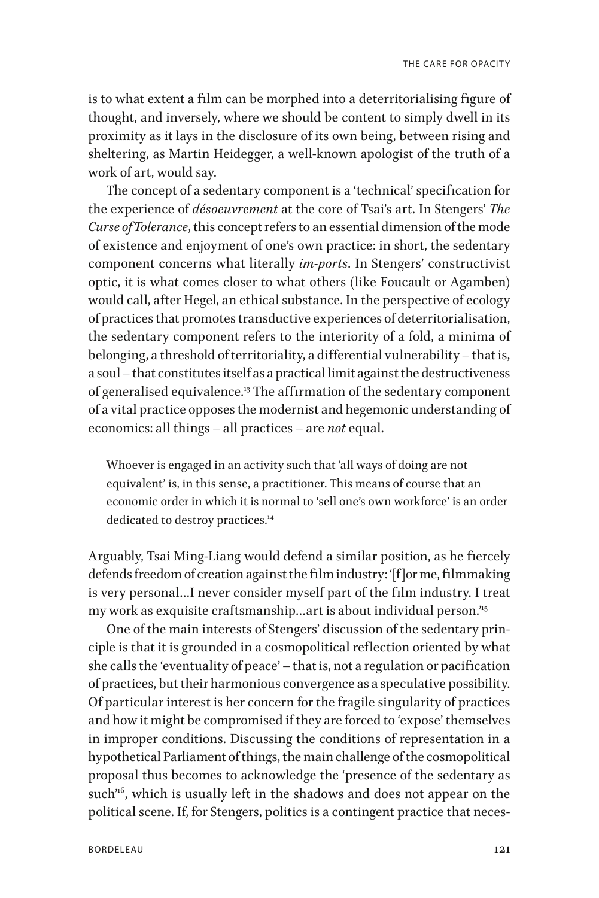is to what extent a film can be morphed into a deterritorialising figure of thought, and inversely, where we should be content to simply dwell in its proximity as it lays in the disclosure of its own being, between rising and sheltering, as Martin Heidegger, a well-known apologist of the truth of a work of art, would say.

The concept of a sedentary component is a 'technical' specification for the experience of *désoeuvrement* at the core of Tsai's art. In Stengers' *The Curse of Tolerance*, this concept refers to an essential dimension of the mode of existence and enjoyment of one's own practice: in short, the sedentary component concerns what literally *im-ports*. In Stengers' constructivist optic, it is what comes closer to what others (like Foucault or Agamben) would call, after Hegel, an ethical substance. In the perspective of ecology of practices that promotes transductive experiences of deterritorialisation, the sedentary component refers to the interiority of a fold, a minima of belonging, a threshold of territoriality, a differential vulnerability – that is, a soul – that constitutes itself as a practical limit against the destructiveness of generalised equivalence.<sup>13</sup> The affirmation of the sedentary component of a vital practice opposes the modernist and hegemonic understanding of economics: all things – all practices – are *not* equal.

Whoever is engaged in an activity such that 'all ways of doing are not equivalent' is, in this sense, a practitioner. This means of course that an economic order in which it is normal to 'sell one's own workforce' is an order dedicated to destroy practices.<sup>14</sup>

Arguably, Tsai Ming-Liang would defend a similar position, as he fiercely defends freedom of creation against the film industry: '[f]or me, filmmaking is very personal…I never consider myself part of the film industry. I treat my work as exquisite craftsmanship...art is about individual person.<sup>15</sup>

One of the main interests of Stengers' discussion of the sedentary principle is that it is grounded in a cosmopolitical reflection oriented by what she calls the 'eventuality of peace' – that is, not a regulation or pacification of practices, but their harmonious convergence as a speculative possibility. Of particular interest is her concern for the fragile singularity of practices and how it might be compromised if they are forced to 'expose' themselves in improper conditions. Discussing the conditions of representation in a hypothetical Parliament of things, the main challenge of the cosmopolitical proposal thus becomes to acknowledge the 'presence of the sedentary as such<sup>16</sup>, which is usually left in the shadows and does not appear on the political scene. If, for Stengers, politics is a contingent practice that neces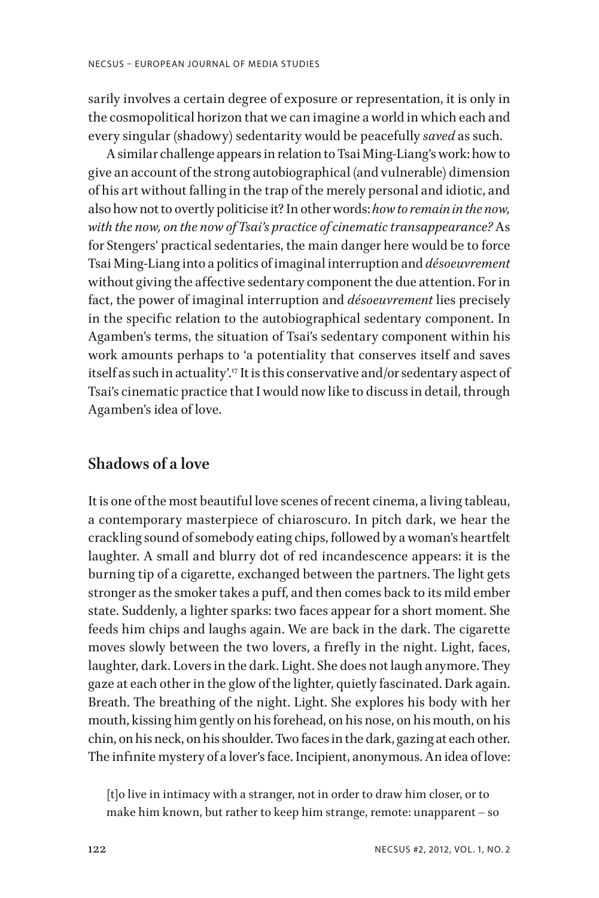sarily involves a certain degree of exposure or representation, it is only in the cosmopolitical horizon that we can imagine a world in which each and every singular (shadowy) sedentarity would be peacefully *saved* as such.

A similar challenge appears in relation to Tsai Ming-Liang's work: how to give an account of the strong autobiographical (and vulnerable) dimension of his art without falling in the trap of the merely personal and idiotic, and also how not to overtly politicise it? In other words: *how to remain in the now, with the now, on the now of Tsai's practice of cinematic transappearance?* As for Stengers' practical sedentaries, the main danger here would be to force Tsai Ming-Liang into a politics of imaginal interruption and *désoeuvrement* without giving the affective sedentary component the due attention. For in fact, the power of imaginal interruption and *désoeuvrement* lies precisely in the specific relation to the autobiographical sedentary component. In Agamben's terms, the situation of Tsai's sedentary component within his work amounts perhaps to 'a potentiality that conserves itself and saves itself as such in actuality'.<sup>17</sup> It is this conservative and/or sedentary aspect of Tsai's cinematic practice that I would now like to discuss in detail, through Agamben's idea of love.

#### **Shadows of a love**

It is one of the most beautiful love scenes of recent cinema, a living tableau, a contemporary masterpiece of chiaroscuro. In pitch dark, we hear the crackling sound of somebody eating chips, followed by a woman's heartfelt laughter. A small and blurry dot of red incandescence appears: it is the burning tip of a cigarette, exchanged between the partners. The light gets stronger as the smoker takes a puff, and then comes back to its mild ember state. Suddenly, a lighter sparks: two faces appear for a short moment. She feeds him chips and laughs again. We are back in the dark. The cigarette moves slowly between the two lovers, a firefly in the night. Light, faces, laughter, dark. Lovers in the dark. Light. She does not laugh anymore. They gaze at each other in the glow of the lighter, quietly fascinated. Dark again. Breath. The breathing of the night. Light. She explores his body with her mouth, kissing him gently on his forehead, on his nose, on his mouth, on his chin, on his neck, on his shoulder. Two faces in the dark, gazing at each other. The infinite mystery of a lover's face. Incipient, anonymous. An idea of love:

[t]o live in intimacy with a stranger, not in order to draw him closer, or to make him known, but rather to keep him strange, remote: unapparent – so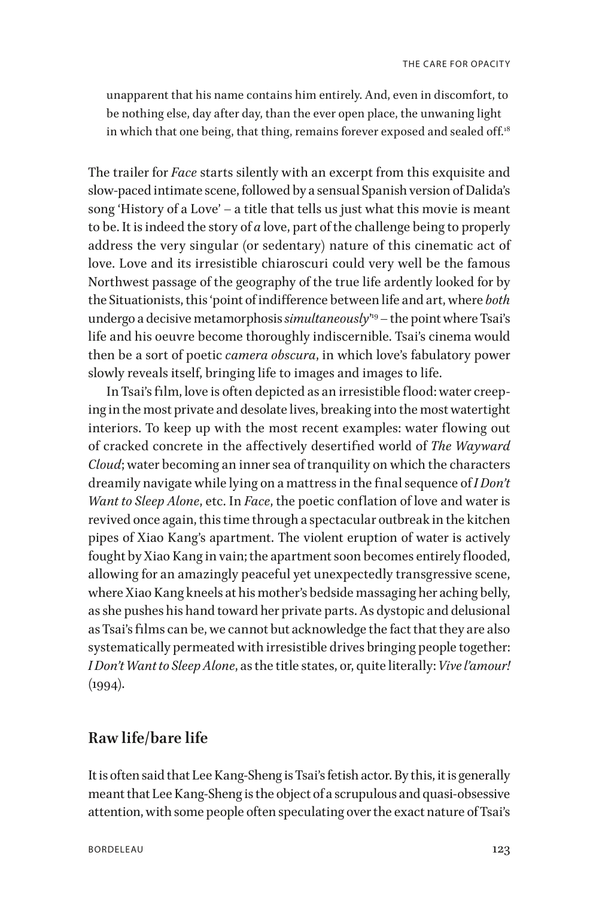unapparent that his name contains him entirely. And, even in discomfort, to be nothing else, day after day, than the ever open place, the unwaning light in which that one being, that thing, remains forever exposed and sealed off.<sup>18</sup>

The trailer for *Face* starts silently with an excerpt from this exquisite and slow-paced intimate scene, followed by a sensual Spanish version of Dalida's song 'History of a Love' – a title that tells us just what this movie is meant to be. It is indeed the story of *a* love, part of the challenge being to properly address the very singular (or sedentary) nature of this cinematic act of love. Love and its irresistible chiaroscuri could very well be the famous Northwest passage of the geography of the true life ardently looked for by the Situationists, this 'point of indifference between life and art, where *both* undergo a decisive metamorphosis *simultaneously*' 19 – the point where Tsai's life and his oeuvre become thoroughly indiscernible. Tsai's cinema would then be a sort of poetic *camera obscura*, in which love's fabulatory power slowly reveals itself, bringing life to images and images to life.

In Tsai's film, love is often depicted as an irresistible flood: water creeping in the most private and desolate lives, breaking into the most watertight interiors. To keep up with the most recent examples: water flowing out of cracked concrete in the affectively desertified world of *The Wayward Cloud*; water becoming an inner sea of tranquility on which the characters dreamily navigate while lying on a mattress in the final sequence of *I Don't Want to Sleep Alone*, etc. In *Face*, the poetic conflation of love and water is revived once again, this time through a spectacular outbreak in the kitchen pipes of Xiao Kang's apartment. The violent eruption of water is actively fought by Xiao Kang in vain; the apartment soon becomes entirely flooded, allowing for an amazingly peaceful yet unexpectedly transgressive scene, where Xiao Kang kneels at his mother's bedside massaging her aching belly, as she pushes his hand toward her private parts. As dystopic and delusional as Tsai's films can be, we cannot but acknowledge the fact that they are also systematically permeated with irresistible drives bringing people together: *I Don't Want to Sleep Alone*, as the title states, or, quite literally: *Vive l'amour!*   $(1994).$ 

#### **Raw life/bare life**

It is often said that Lee Kang-Sheng is Tsai's fetish actor. By this, it is generally meant that Lee Kang-Sheng is the object of a scrupulous and quasi-obsessive attention, with some people often speculating over the exact nature of Tsai's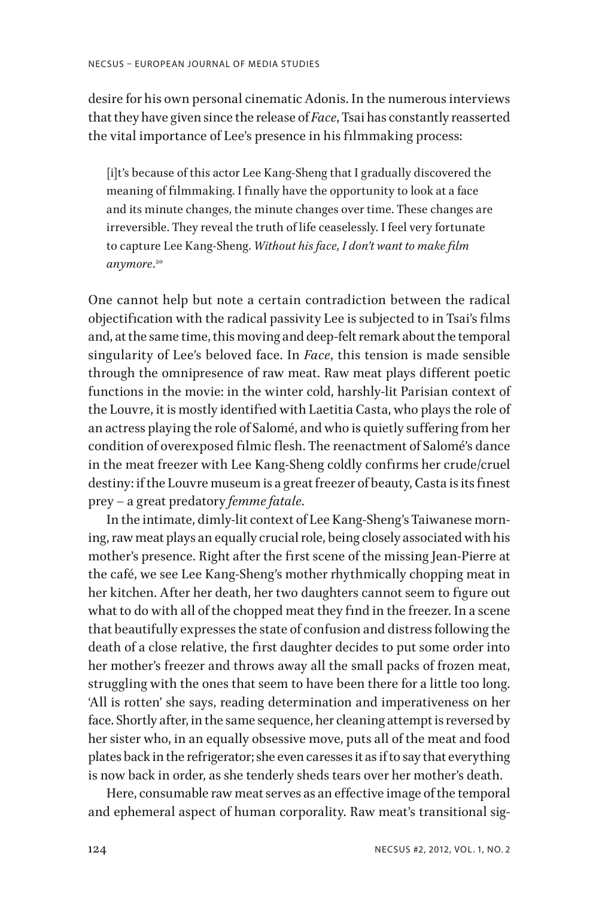desire for his own personal cinematic Adonis. In the numerous interviews that they have given since the release of *Face*, Tsai has constantly reasserted the vital importance of Lee's presence in his filmmaking process:

[i]t's because of this actor Lee Kang-Sheng that I gradually discovered the meaning of filmmaking. I finally have the opportunity to look at a face and its minute changes, the minute changes over time. These changes are irreversible. They reveal the truth of life ceaselessly. I feel very fortunate to capture Lee Kang-Sheng. *Without his face, I don't want to make film anymore*. 20

One cannot help but note a certain contradiction between the radical objectification with the radical passivity Lee is subjected to in Tsai's films and, at the same time, this moving and deep-felt remark about the temporal singularity of Lee's beloved face. In *Face*, this tension is made sensible through the omnipresence of raw meat. Raw meat plays different poetic functions in the movie: in the winter cold, harshly-lit Parisian context of the Louvre, it is mostly identified with Laetitia Casta, who plays the role of an actress playing the role of Salomé, and who is quietly suffering from her condition of overexposed filmic flesh. The reenactment of Salomé's dance in the meat freezer with Lee Kang-Sheng coldly confirms her crude/cruel destiny: if the Louvre museum is a great freezer of beauty, Casta is its finest prey – a great predatory *femme fatale*.

In the intimate, dimly-lit context of Lee Kang-Sheng's Taiwanese morning, raw meat plays an equally crucial role, being closely associated with his mother's presence. Right after the first scene of the missing Jean-Pierre at the café, we see Lee Kang-Sheng's mother rhythmically chopping meat in her kitchen. After her death, her two daughters cannot seem to figure out what to do with all of the chopped meat they find in the freezer. In a scene that beautifully expresses the state of confusion and distress following the death of a close relative, the first daughter decides to put some order into her mother's freezer and throws away all the small packs of frozen meat, struggling with the ones that seem to have been there for a little too long. 'All is rotten' she says, reading determination and imperativeness on her face. Shortly after, in the same sequence, her cleaning attempt is reversed by her sister who, in an equally obsessive move, puts all of the meat and food plates back in the refrigerator; she even caresses it as if to say that everything is now back in order, as she tenderly sheds tears over her mother's death.

Here, consumable raw meat serves as an effective image of the temporal and ephemeral aspect of human corporality. Raw meat's transitional sig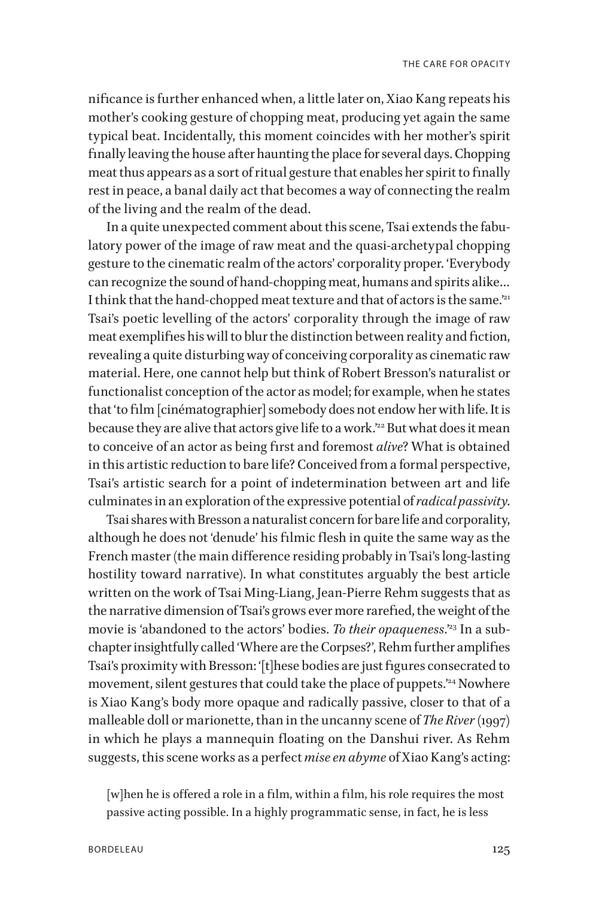nificance is further enhanced when, a little later on, Xiao Kang repeats his mother's cooking gesture of chopping meat, producing yet again the same typical beat. Incidentally, this moment coincides with her mother's spirit finally leaving the house after haunting the place for several days. Chopping meat thus appears as a sort of ritual gesture that enables her spirit to finally rest in peace, a banal daily act that becomes a way of connecting the realm of the living and the realm of the dead.

In a quite unexpected comment about this scene, Tsai extends the fabulatory power of the image of raw meat and the quasi-archetypal chopping gesture to the cinematic realm of the actors' corporality proper. 'Everybody can recognize the sound of hand-chopping meat, humans and spirits alike… I think that the hand-chopped meat texture and that of actors is the same."<sup>21</sup> Tsai's poetic levelling of the actors' corporality through the image of raw meat exemplifies his will to blur the distinction between reality and fiction, revealing a quite disturbing way of conceiving corporality as cinematic raw material. Here, one cannot help but think of Robert Bresson's naturalist or functionalist conception of the actor as model; for example, when he states that 'to film [cinématographier] somebody does not endow her with life. It is because they are alive that actors give life to a work.<sup>22</sup> But what does it mean to conceive of an actor as being first and foremost *alive*? What is obtained in this artistic reduction to bare life? Conceived from a formal perspective, Tsai's artistic search for a point of indetermination between art and life culminates in an exploration of the expressive potential of *radical passivity*.

Tsai shares with Bresson a naturalist concern for bare life and corporality, although he does not 'denude' his filmic flesh in quite the same way as the French master (the main difference residing probably in Tsai's long-lasting hostility toward narrative). In what constitutes arguably the best article written on the work of Tsai Ming-Liang, Jean-Pierre Rehm suggests that as the narrative dimension of Tsai's grows ever more rarefied, the weight of the movie is 'abandoned to the actors' bodies. To their opaqueness.<sup>23</sup> In a subchapter insightfully called 'Where are the Corpses?', Rehm further amplifies Tsai's proximity with Bresson: '[t]hese bodies are just figures consecrated to movement, silent gestures that could take the place of puppets.<sup>'24</sup> Nowhere is Xiao Kang's body more opaque and radically passive, closer to that of a malleable doll or marionette, than in the uncanny scene of *The River* (1997) in which he plays a mannequin floating on the Danshui river. As Rehm suggests, this scene works as a perfect *mise en abyme* of Xiao Kang's acting:

[w]hen he is offered a role in a film, within a film, his role requires the most passive acting possible. In a highly programmatic sense, in fact, he is less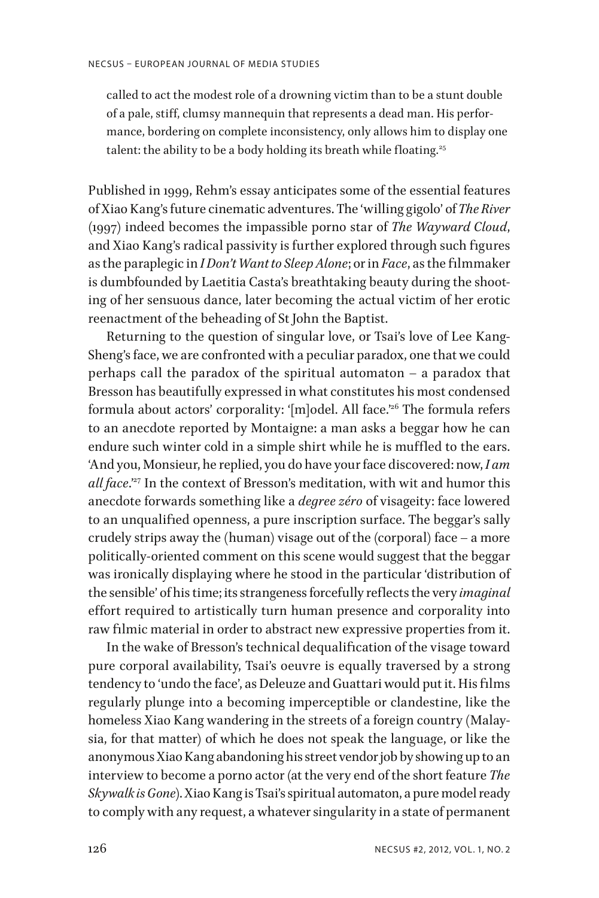called to act the modest role of a drowning victim than to be a stunt double of a pale, stiff, clumsy mannequin that represents a dead man. His performance, bordering on complete inconsistency, only allows him to display one talent: the ability to be a body holding its breath while floating.<sup>25</sup>

Published in 1999, Rehm's essay anticipates some of the essential features of Xiao Kang's future cinematic adventures. The 'willing gigolo' of *The River* (1997) indeed becomes the impassible porno star of *The Wayward Cloud*, and Xiao Kang's radical passivity is further explored through such figures as the paraplegic in *I Don't Want to Sleep Alone*; or in *Face*, as the filmmaker is dumbfounded by Laetitia Casta's breathtaking beauty during the shooting of her sensuous dance, later becoming the actual victim of her erotic reenactment of the beheading of St John the Baptist.

Returning to the question of singular love, or Tsai's love of Lee Kang-Sheng's face, we are confronted with a peculiar paradox, one that we could perhaps call the paradox of the spiritual automaton – a paradox that Bresson has beautifully expressed in what constitutes his most condensed formula about actors' corporality: '[m]odel. All face.'26 The formula refers to an anecdote reported by Montaigne: a man asks a beggar how he can endure such winter cold in a simple shirt while he is muffled to the ears. 'And you, Monsieur, he replied, you do have your face discovered: now, *I am all face.*<sup>27</sup> In the context of Bresson's meditation, with wit and humor this anecdote forwards something like a *degree zéro* of visageity: face lowered to an unqualified openness, a pure inscription surface. The beggar's sally crudely strips away the (human) visage out of the (corporal) face – a more politically-oriented comment on this scene would suggest that the beggar was ironically displaying where he stood in the particular 'distribution of the sensible' of his time; its strangeness forcefully reflects the very *imaginal* effort required to artistically turn human presence and corporality into raw filmic material in order to abstract new expressive properties from it.

In the wake of Bresson's technical dequalification of the visage toward pure corporal availability, Tsai's oeuvre is equally traversed by a strong tendency to 'undo the face', as Deleuze and Guattari would put it. His films regularly plunge into a becoming imperceptible or clandestine, like the homeless Xiao Kang wandering in the streets of a foreign country (Malaysia, for that matter) of which he does not speak the language, or like the anonymous Xiao Kang abandoning his street vendor job by showing up to an interview to become a porno actor (at the very end of the short feature *The Skywalk is Gone*). Xiao Kang is Tsai's spiritual automaton, a pure model ready to comply with any request, a whatever singularity in a state of permanent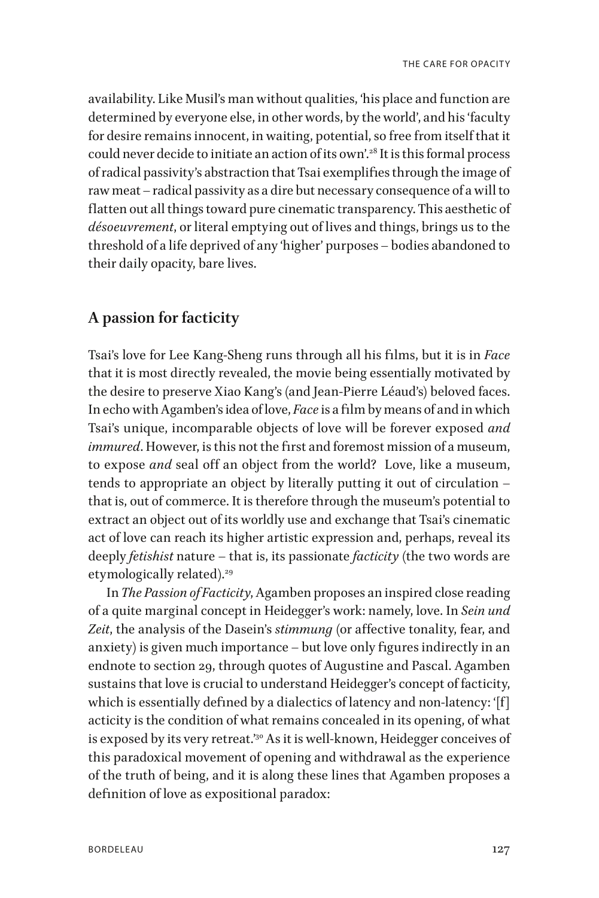availability. Like Musil's man without qualities, 'his place and function are determined by everyone else, in other words, by the world', and his 'faculty for desire remains innocent, in waiting, potential, so free from itself that it could never decide to initiate an action of its own'.<sup>28</sup> It is this formal process of radical passivity's abstraction that Tsai exemplifies through the image of raw meat – radical passivity as a dire but necessary consequence of a will to flatten out all things toward pure cinematic transparency. This aesthetic of *désoeuvrement*, or literal emptying out of lives and things, brings us to the threshold of a life deprived of any 'higher' purposes – bodies abandoned to their daily opacity, bare lives.

#### **A passion for facticity**

Tsai's love for Lee Kang-Sheng runs through all his films, but it is in *Face* that it is most directly revealed, the movie being essentially motivated by the desire to preserve Xiao Kang's (and Jean-Pierre Léaud's) beloved faces. In echo with Agamben's idea of love, *Face* is a film by means of and in which Tsai's unique, incomparable objects of love will be forever exposed *and immured*. However, is this not the first and foremost mission of a museum, to expose *and* seal off an object from the world? Love, like a museum, tends to appropriate an object by literally putting it out of circulation – that is, out of commerce. It is therefore through the museum's potential to extract an object out of its worldly use and exchange that Tsai's cinematic act of love can reach its higher artistic expression and, perhaps, reveal its deeply *fetishist* nature – that is, its passionate *facticity* (the two words are etymologically related).<sup>29</sup>

In *The Passion of Facticity*, Agamben proposes an inspired close reading of a quite marginal concept in Heidegger's work: namely, love. In *Sein und Zeit*, the analysis of the Dasein's *stimmung* (or affective tonality, fear, and anxiety) is given much importance – but love only figures indirectly in an endnote to section 29, through quotes of Augustine and Pascal. Agamben sustains that love is crucial to understand Heidegger's concept of facticity, which is essentially defined by a dialectics of latency and non-latency: '[f] acticity is the condition of what remains concealed in its opening, of what is exposed by its very retreat.'<sup>30</sup> As it is well-known, Heidegger conceives of this paradoxical movement of opening and withdrawal as the experience of the truth of being, and it is along these lines that Agamben proposes a definition of love as expositional paradox: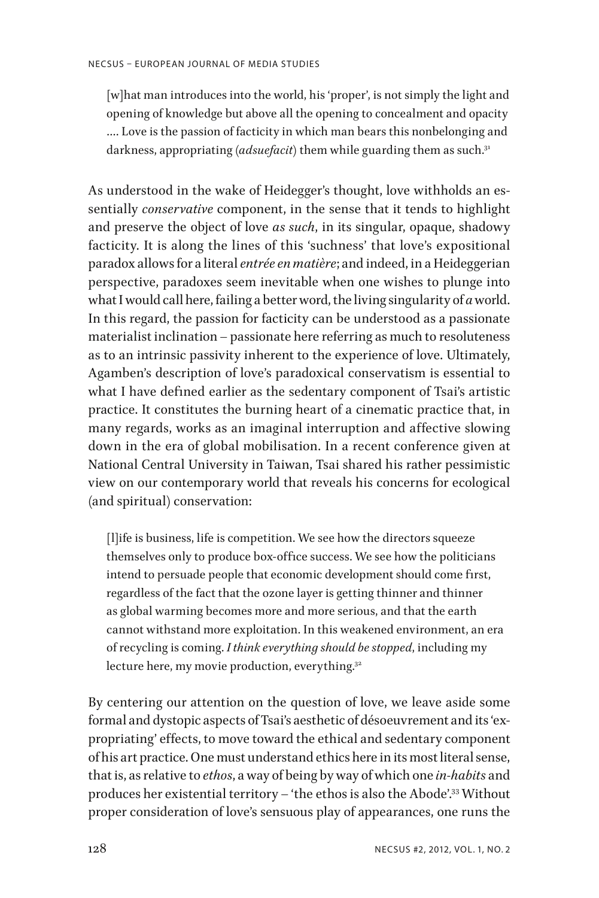[w]hat man introduces into the world, his 'proper', is not simply the light and opening of knowledge but above all the opening to concealment and opacity …. Love is the passion of facticity in which man bears this nonbelonging and darkness, appropriating (*adsuefacit*) them while guarding them as such.<sup>31</sup>

As understood in the wake of Heidegger's thought, love withholds an essentially *conservative* component, in the sense that it tends to highlight and preserve the object of love *as such*, in its singular, opaque, shadowy facticity. It is along the lines of this 'suchness' that love's expositional paradox allows for a literal *entrée en matière*; and indeed, in a Heideggerian perspective, paradoxes seem inevitable when one wishes to plunge into what I would call here, failing a better word, the living singularity of *a* world. In this regard, the passion for facticity can be understood as a passionate materialist inclination – passionate here referring as much to resoluteness as to an intrinsic passivity inherent to the experience of love. Ultimately, Agamben's description of love's paradoxical conservatism is essential to what I have defined earlier as the sedentary component of Tsai's artistic practice. It constitutes the burning heart of a cinematic practice that, in many regards, works as an imaginal interruption and affective slowing down in the era of global mobilisation. In a recent conference given at National Central University in Taiwan, Tsai shared his rather pessimistic view on our contemporary world that reveals his concerns for ecological (and spiritual) conservation:

[l]ife is business, life is competition. We see how the directors squeeze themselves only to produce box-office success. We see how the politicians intend to persuade people that economic development should come first, regardless of the fact that the ozone layer is getting thinner and thinner as global warming becomes more and more serious, and that the earth cannot withstand more exploitation. In this weakened environment, an era of recycling is coming. *I think everything should be stopped*, including my lecture here, my movie production, everything.<sup>32</sup>

By centering our attention on the question of love, we leave aside some formal and dystopic aspects of Tsai's aesthetic of désoeuvrement and its 'expropriating' effects, to move toward the ethical and sedentary component of his art practice. One must understand ethics here in its most literal sense, that is, as relative to *ethos*, a way of being by way of which one *in-habits* and produces her existential territory – 'the ethos is also the Abode'.33 Without proper consideration of love's sensuous play of appearances, one runs the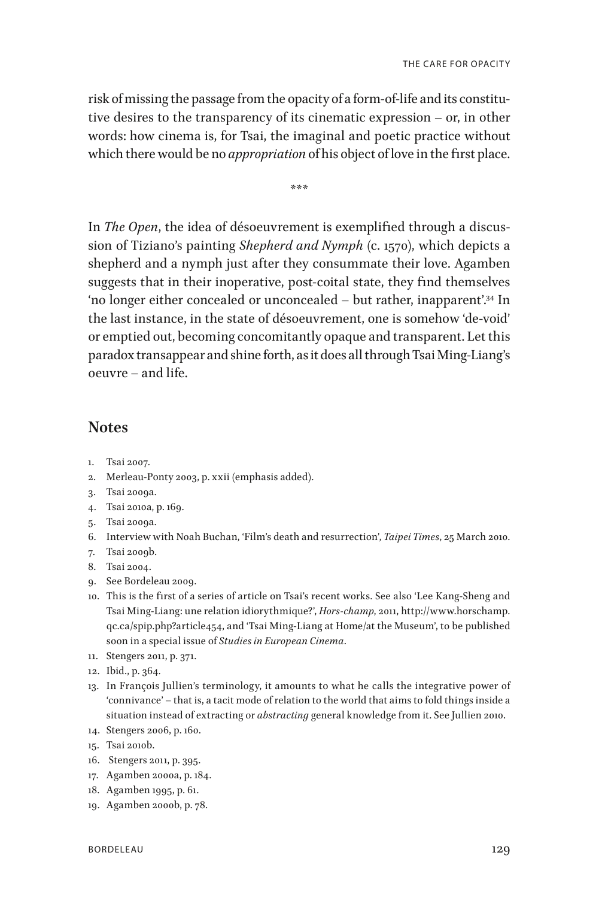risk of missing the passage from the opacity of a form-of-life and its constitutive desires to the transparency of its cinematic expression – or, in other words: how cinema is, for Tsai, the imaginal and poetic practice without which there would be no *appropriation* of his object of love in the first place.

\*\*\*

In *The Open*, the idea of désoeuvrement is exemplified through a discussion of Tiziano's painting *Shepherd and Nymph* (c. 1570), which depicts a shepherd and a nymph just after they consummate their love. Agamben suggests that in their inoperative, post-coital state, they find themselves 'no longer either concealed or unconcealed – but rather, inapparent'.34 In the last instance, in the state of désoeuvrement, one is somehow 'de-void' or emptied out, becoming concomitantly opaque and transparent. Let this paradox transappear and shine forth, as it does all through Tsai Ming-Liang's oeuvre – and life.

#### **Notes**

- 1. Tsai 2007.
- 2. Merleau-Ponty 2003, p. xxii (emphasis added).
- 3. Tsai 2009a.
- 4. Tsai 2010a, p. 169.
- 5. Tsai 2009a.
- 6. Interview with Noah Buchan, 'Film's death and resurrection', *Taipei Times*, 25 March 2010.
- 7. Tsai 2009b.
- 8. Tsai 2004.
- 9. See Bordeleau 2009.
- 10. This is the first of a series of article on Tsai's recent works. See also 'Lee Kang-Sheng and Tsai Ming-Liang: une relation idiorythmique?', *Hors-champ*, 2011, http://www.horschamp. qc.ca/spip.php?article454, and 'Tsai Ming-Liang at Home/at the Museum', to be published soon in a special issue of *Studies in European Cinema*.
- 11. Stengers 2011, p. 371.
- 12. Ibid., p. 364*.*
- 13. In François Jullien's terminology, it amounts to what he calls the integrative power of 'connivance' – that is, a tacit mode of relation to the world that aims to fold things inside a situation instead of extracting or *abstracting* general knowledge from it. See Jullien 2010.
- 14. Stengers 2006, p. 160.
- 15. Tsai 2010b.
- 16. Stengers 2011, p. 395.
- 17. Agamben 2000a, p. 184.
- 18. Agamben 1995, p. 61.
- 19. Agamben 2000b, p. 78.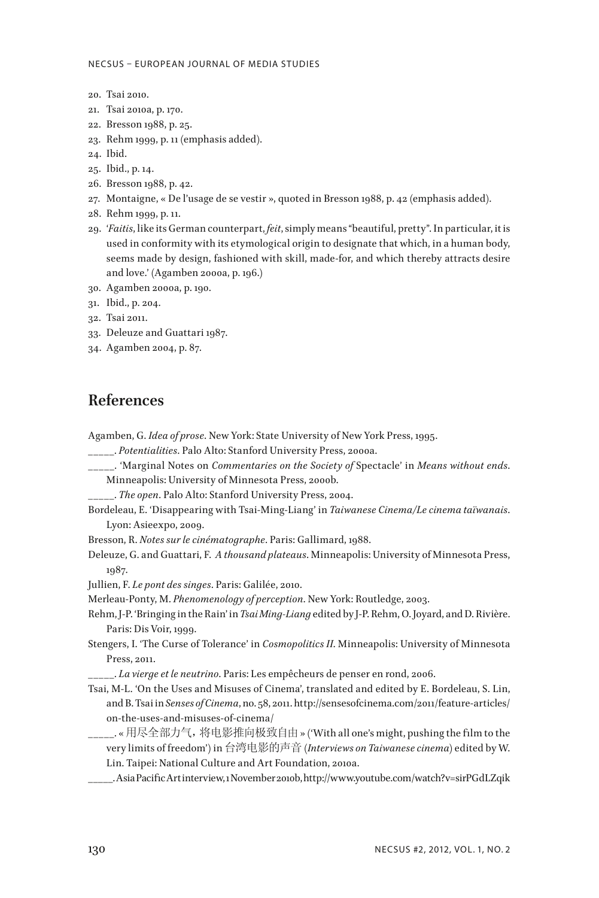- 20. Tsai 2010.
- 21. Tsai 2010a, p. 170.
- 22. Bresson 1988, p. 25.
- 23. Rehm 1999, p. 11 (emphasis added).
- 24. Ibid.
- 25. Ibid., p. 14.
- 26. Bresson 1988, p. 42.
- 27. Montaigne, « De l'usage de se vestir », quoted in Bresson 1988, p. 42 (emphasis added).
- 28. Rehm 1999, p. 11.
- 29. '*Faitis*, like its German counterpart, *feit*, simply means "beautiful, pretty". In particular, it is used in conformity with its etymological origin to designate that which, in a human body, seems made by design, fashioned with skill, made-for, and which thereby attracts desire and love.' (Agamben 2000a, p. 196.)
- 30. Agamben 2000a, p. 190.
- 31. Ibid., p. 204.
- 32. Tsai 2011.
- 33. Deleuze and Guattari 1987.
- 34. Agamben 2004, p. 87.

# **References**

Agamben, G. *Idea of prose*. New York: State University of New York Press, 1995.

- \_\_\_\_\_. *Potentialities*. Palo Alto: Stanford University Press, 2000a.
- \_\_\_\_\_. 'Marginal Notes on *Commentaries on the Society of* Spectacle' in *Means without ends*. Minneapolis: University of Minnesota Press, 2000b.
- \_\_\_\_\_. *The open*. Palo Alto: Stanford University Press, 2004.
- Bordeleau, E. 'Disappearing with Tsai-Ming-Liang' in *Taiwanese Cinema/Le cinema taïwanais*. Lyon: Asieexpo, 2009.
- Bresson, R. *Notes sur le cinématographe*. Paris: Gallimard, 1988.
- Deleuze, G. and Guattari, F. *A thousand plateaus*. Minneapolis: University of Minnesota Press, 1987.
- Jullien, F. *Le pont des singes*. Paris: Galilée, 2010.

Merleau-Ponty, M. *Phenomenology of perception*. New York: Routledge, 2003.

- Rehm, J-P. 'Bringing in the Rain' in *Tsai Ming-Liang* edited by J-P. Rehm, O. Joyard, and D. Rivière. Paris: Dis Voir, 1999.
- Stengers, I. 'The Curse of Tolerance' in *Cosmopolitics II*. Minneapolis: University of Minnesota Press, 2011.

\_\_\_\_\_. *La vierge et le neutrino*. Paris: Les empêcheurs de penser en rond, 2006.

- Tsai, M-L. 'On the Uses and Misuses of Cinema', translated and edited by E. Bordeleau, S. Lin, and B. Tsai in *Senses of Cinema*, no. 58, 2011. http://sensesofcinema.com/2011/feature-articles/ on-the-uses-and-misuses-of-cinema/
	- \_\_\_\_\_. « 用尽全部力气,将电影推向极致自由 » ('With all one's might, pushing the film to the very limits of freedom') in 台湾电影的声音 (*Interviews on Taiwanese cinema*) edited by W. Lin. Taipei: National Culture and Art Foundation, 2010a.
- \_\_\_\_\_. Asia Pacific Art interview, 1 November 2010b, http://www.youtube.com/watch?v=sirPGdLZqik